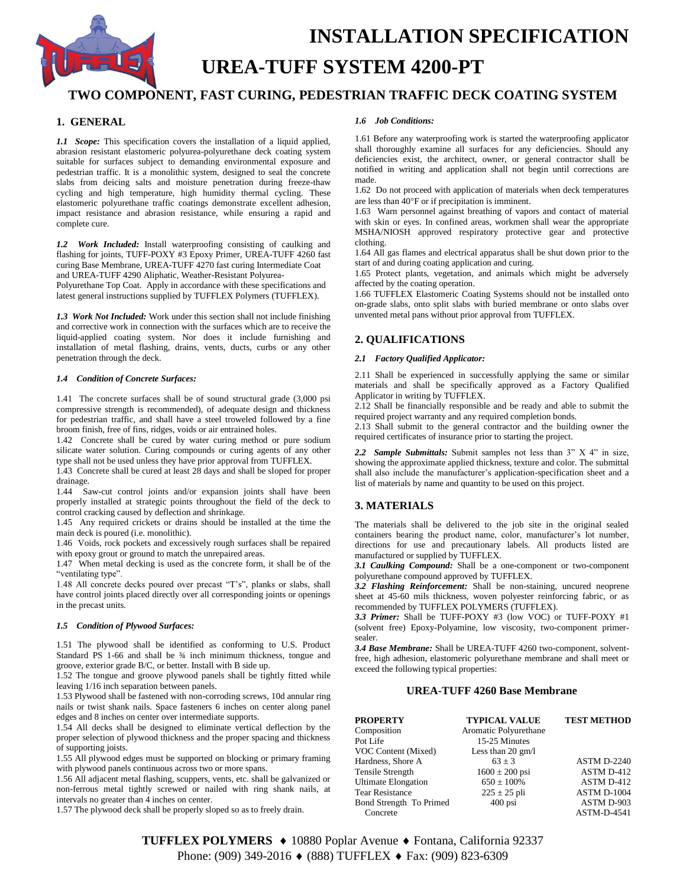

# **INSTALLATION SPECIFICATION UREA-TUFF SYSTEM 4200-PT**

# **TWO COMPONENT, FAST CURING, PEDESTRIAN TRAFFIC DECK COATING SYSTEM**

# **1. GENERAL**

*1.1 Scope:* This specification covers the installation of a liquid applied, abrasion resistant elastomeric polyurea-polyurethane deck coating system suitable for surfaces subject to demanding environmental exposure and pedestrian traffic. It is a monolithic system, designed to seal the concrete slabs from deicing salts and moisture penetration during freeze-thaw cycling and high temperature, high humidity thermal cycling. These elastomeric polyurethane traffic coatings demonstrate excellent adhesion, impact resistance and abrasion resistance, while ensuring a rapid and complete cure.

*1.2 Work Included:* Install waterproofing consisting of caulking and flashing for joints, TUFF-POXY #3 Epoxy Primer, UREA-TUFF 4260 fast curing Base Membrane, UREA-TUFF 4270 fast curing Intermediate Coat and UREA-TUFF 4290 Aliphatic, Weather-Resistant Polyurea-Polyurethane Top Coat. Apply in accordance with these specifications and

latest general instructions supplied by TUFFLEX Polymers (TUFFLEX).

*1.3 Work Not Included:* Work under this section shall not include finishing and corrective work in connection with the surfaces which are to receive the liquid-applied coating system. Nor does it include furnishing and installation of metal flashing, drains, vents, ducts, curbs or any other penetration through the deck.

#### *1.4 Condition of Concrete Surfaces:*

1.41 The concrete surfaces shall be of sound structural grade (3,000 psi compressive strength is recommended), of adequate design and thickness for pedestrian traffic, and shall have a steel troweled followed by a fine broom finish, free of fins, ridges, voids or air entrained holes.

1.42 Concrete shall be cured by water curing method or pure sodium silicate water solution. Curing compounds or curing agents of any other type shall not be used unless they have prior approval from TUFFLEX.

1.43 Concrete shall be cured at least 28 days and shall be sloped for proper drainage.

1.44 Saw-cut control joints and/or expansion joints shall have been properly installed at strategic points throughout the field of the deck to control cracking caused by deflection and shrinkage.

1.45 Any required crickets or drains should be installed at the time the main deck is poured (i.e. monolithic).

1.46 Voids, rock pockets and excessively rough surfaces shall be repaired with epoxy grout or ground to match the unrepaired areas.

1.47 When metal decking is used as the concrete form, it shall be of the "ventilating type".

1.48 All concrete decks poured over precast "T's", planks or slabs, shall have control joints placed directly over all corresponding joints or openings in the precast units.

### *1.5 Condition of Plywood Surfaces:*

1.51 The plywood shall be identified as conforming to U.S. Product Standard PS 1-66 and shall be  $\frac{3}{4}$  inch minimum thickness, tongue and groove, exterior grade B/C, or better. Install with B side up.

1.52 The tongue and groove plywood panels shall be tightly fitted while leaving 1/16 inch separation between panels.

1.53 Plywood shall be fastened with non-corroding screws, 10d annular ring nails or twist shank nails. Space fasteners 6 inches on center along panel edges and 8 inches on center over intermediate supports.

1.54 All decks shall be designed to eliminate vertical deflection by the proper selection of plywood thickness and the proper spacing and thickness of supporting joists.

1.55 All plywood edges must be supported on blocking or primary framing with plywood panels continuous across two or more spans.

1.56 All adjacent metal flashing, scuppers, vents, etc. shall be galvanized or non-ferrous metal tightly screwed or nailed with ring shank nails, at intervals no greater than 4 inches on center.

1.57 The plywood deck shall be properly sloped so as to freely drain.

#### *1.6 Job Conditions:*

1.61 Before any waterproofing work is started the waterproofing applicator shall thoroughly examine all surfaces for any deficiencies. Should any deficiencies exist, the architect, owner, or general contractor shall be notified in writing and application shall not begin until corrections are made.

1.62 Do not proceed with application of materials when deck temperatures are less than  $40^{\circ}$ F or if precipitation is imminent.

1.63 Warn personnel against breathing of vapors and contact of material with skin or eyes. In confined areas, workmen shall wear the appropriate MSHA/NIOSH approved respiratory protective gear and protective clothing.

1.64 All gas flames and electrical apparatus shall be shut down prior to the start of and during coating application and curing.

1.65 Protect plants, vegetation, and animals which might be adversely affected by the coating operation.

1.66 TUFFLEX Elastomeric Coating Systems should not be installed onto on-grade slabs, onto split slabs with buried membrane or onto slabs over unvented metal pans without prior approval from TUFFLEX.

# **2. QUALIFICATIONS**

### *2.1 Factory Qualified Applicator:*

2.11 Shall be experienced in successfully applying the same or similar materials and shall be specifically approved as a Factory Qualified Applicator in writing by TUFFLEX.

2.12 Shall be financially responsible and be ready and able to submit the required project warranty and any required completion bonds.

2.13 Shall submit to the general contractor and the building owner the required certificates of insurance prior to starting the project.

*2.2 Sample Submittals:* Submit samples not less than 3" X 4" in size, showing the approximate applied thickness, texture and color. The submittal shall also include the manufacturer's application-specification sheet and a list of materials by name and quantity to be used on this project.

# **3. MATERIALS**

The materials shall be delivered to the job site in the original sealed containers bearing the product name, color, manufacturer's lot number, directions for use and precautionary labels. All products listed are manufactured or supplied by TUFFLEX.

*3.1 Caulking Compound:* Shall be a one-component or two-component polyurethane compound approved by TUFFLEX.

*3.2 Flashing Reinforcement:* Shall be non-staining, uncured neoprene sheet at 45-60 mils thickness, woven polyester reinforcing fabric, or as recommended by TUFFLEX POLYMERS (TUFFLEX).

*3.3 Primer:* Shall be TUFF-POXY #3 (low VOC) or TUFF-POXY #1 (solvent free) Epoxy-Polyamine, low viscosity, two-component primersealer.

*3.4 Base Membrane:* Shall be UREA-TUFF 4260 two-component, solventfree, high adhesion, elastomeric polyurethane membrane and shall meet or exceed the following typical properties:

# **UREA-TUFF 4260 Base Membrane**

| <b>PROPERTY</b>            | <b>TYPICAL VALUE</b>        | <b>TEST METHOD</b> |
|----------------------------|-----------------------------|--------------------|
| Composition                | Aromatic Polyurethane       |                    |
| Pot Life                   | 15-25 Minutes               |                    |
| VOC Content (Mixed)        | Less than $20 \text{ gm/l}$ |                    |
| Hardness, Shore A          | $63 + 3$                    | ASTM D-2240        |
| Tensile Strength           | $1600 \pm 200$ psi          | ASTM D-412         |
| <b>Ultimate Elongation</b> | $650 \pm 100\%$             | ASTM D-412         |
| <b>Tear Resistance</b>     | $225 \pm 25$ pli            | ASTM D-1004        |
| Bond Strength To Primed    | $400$ psi                   | ASTM D-903         |
| Concrete                   |                             | <b>ASTM-D-4541</b> |

**TUFFLEX POLYMERS ♦** 10880 Poplar Avenue ♦ Fontana, California 92337 Phone: (909) 349-2016 ♦ (888) TUFFLEX ♦ Fax: (909) 823-6309